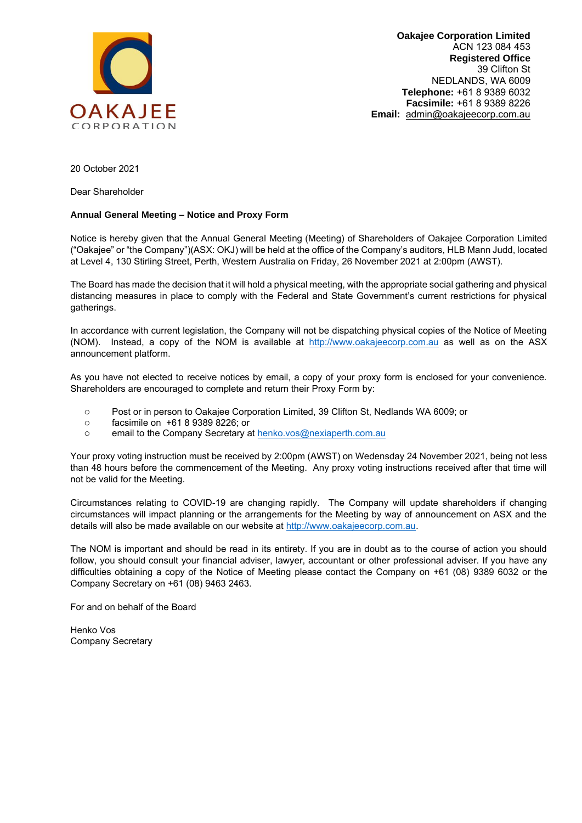

**Oakajee Corporation Limited**  ACN 123 084 453 **Registered Office**  39 Clifton St NEDLANDS, WA 6009 **Telephone:** +61 8 9389 6032 **Facsimile:** +61 8 9389 8226 **Email:** [admin@oakajeecorp.com.au](mailto:admin@oakajeecorp.com.au)

20 October 2021

Dear Shareholder

#### **Annual General Meeting – Notice and Proxy Form**

Notice is hereby given that the Annual General Meeting (Meeting) of Shareholders of Oakajee Corporation Limited ("Oakajee" or "the Company")(ASX: OKJ) will be held at the office of the Company's auditors, HLB Mann Judd, located at Level 4, 130 Stirling Street, Perth, Western Australia on Friday, 26 November 2021 at 2:00pm (AWST).

The Board has made the decision that it will hold a physical meeting, with the appropriate social gathering and physical distancing measures in place to comply with the Federal and State Government's current restrictions for physical gatherings.

In accordance with current legislation, the Company will not be dispatching physical copies of the Notice of Meeting (NOM). Instead, a copy of the NOM is available at [http://www.oakajeecorp.com.au](http://www.oakajeecorp.com.au/) as well as on the ASX announcement platform.

As you have not elected to receive notices by email, a copy of your proxy form is enclosed for your convenience. Shareholders are encouraged to complete and return their Proxy Form by:

- o Post or in person to Oakajee Corporation Limited, 39 Clifton St, Nedlands WA 6009; or
- o facsimile on +61 8 9389 8226; or
- o email to the Company Secretary at [henko.vos@nexiaperth.com.au](mailto:henko.vos@nexiaperth.com.au)

Your proxy voting instruction must be received by 2:00pm (AWST) on Wedensday 24 November 2021, being not less than 48 hours before the commencement of the Meeting. Any proxy voting instructions received after that time will not be valid for the Meeting.

Circumstances relating to COVID-19 are changing rapidly. The Company will update shareholders if changing circumstances will impact planning or the arrangements for the Meeting by way of announcement on ASX and the details will also be made available on our website a[t http://www.oakajeecorp.com.au.](http://www.oakajeecorp.com.au/)

The NOM is important and should be read in its entirety. If you are in doubt as to the course of action you should follow, you should consult your financial adviser, lawyer, accountant or other professional adviser. If you have any difficulties obtaining a copy of the Notice of Meeting please contact the Company on +61 (08) 9389 6032 or the Company Secretary on +61 (08) 9463 2463.

For and on behalf of the Board

Henko Vos Company Secretary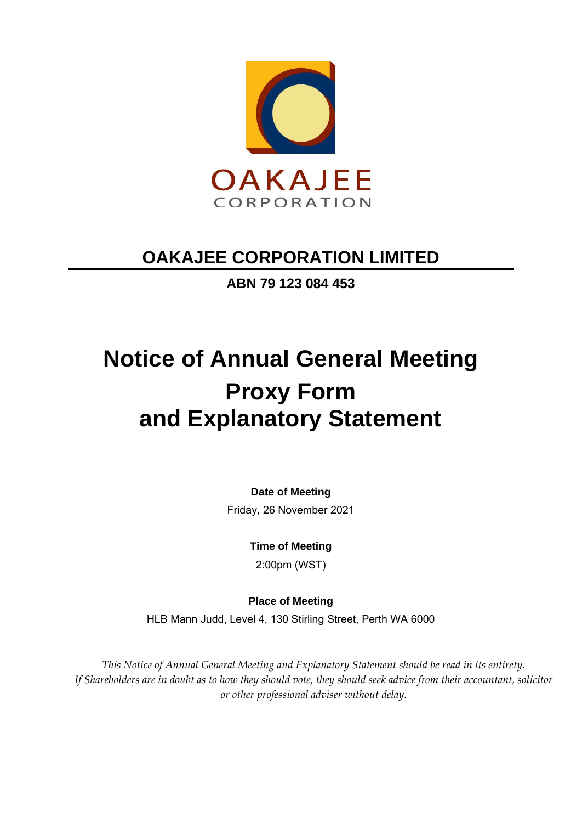

**ABN 79 123 084 453**

# **Notice of Annual General Meeting Proxy Form and Explanatory Statement**

**Date of Meeting**

Friday, 26 November 2021

**Time of Meeting**

2:00pm (WST)

**Place of Meeting**

HLB Mann Judd, Level 4, 130 Stirling Street, Perth WA 6000

*This Notice of Annual General Meeting and Explanatory Statement should be read in its entirety. If Shareholders are in doubt as to how they should vote, they should seek advice from their accountant, solicitor or other professional adviser without delay.*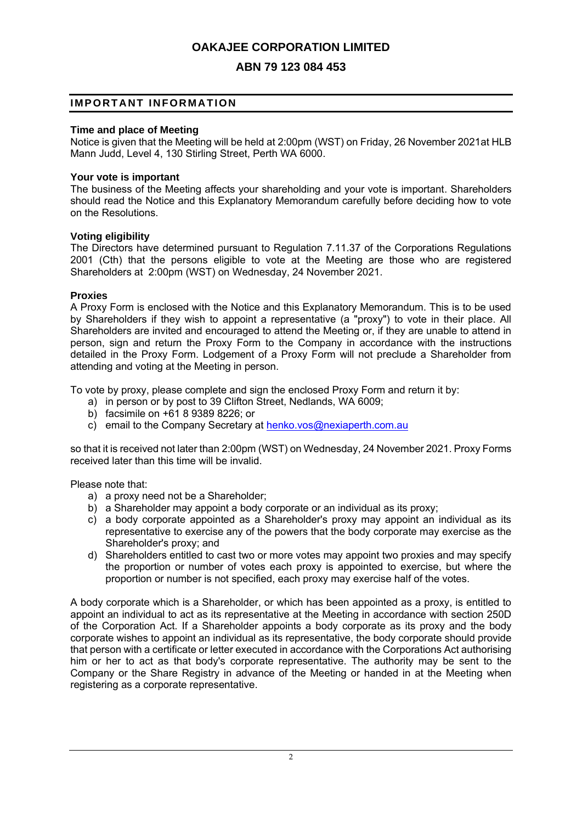# **ABN 79 123 084 453**

#### **IMPORTANT INFORMATION**

#### **Time and place of Meeting**

Notice is given that the Meeting will be held at 2:00pm (WST) on Friday, 26 November 2021at HLB Mann Judd, Level 4, 130 Stirling Street, Perth WA 6000.

#### **Your vote is important**

The business of the Meeting affects your shareholding and your vote is important. Shareholders should read the Notice and this Explanatory Memorandum carefully before deciding how to vote on the Resolutions.

#### **Voting eligibility**

The Directors have determined pursuant to Regulation 7.11.37 of the Corporations Regulations 2001 (Cth) that the persons eligible to vote at the Meeting are those who are registered Shareholders at 2:00pm (WST) on Wednesday, 24 November 2021.

#### **Proxies**

A Proxy Form is enclosed with the Notice and this Explanatory Memorandum. This is to be used by Shareholders if they wish to appoint a representative (a "proxy") to vote in their place. All Shareholders are invited and encouraged to attend the Meeting or, if they are unable to attend in person, sign and return the Proxy Form to the Company in accordance with the instructions detailed in the Proxy Form. Lodgement of a Proxy Form will not preclude a Shareholder from attending and voting at the Meeting in person.

To vote by proxy, please complete and sign the enclosed Proxy Form and return it by:

- a) in person or by post to 39 Clifton Street, Nedlands, WA 6009;
- b) facsimile on +61 8 9389 8226; or
- c) email to the Company Secretary at [henko.vos@nexiaperth.com.au](mailto:henko.vos@nexiaperth.com.au)

so that it is received not later than 2:00pm (WST) on Wednesday, 24 November 2021. Proxy Forms received later than this time will be invalid.

Please note that:

- a) a proxy need not be a Shareholder;
- b) a Shareholder may appoint a body corporate or an individual as its proxy;
- c) a body corporate appointed as a Shareholder's proxy may appoint an individual as its representative to exercise any of the powers that the body corporate may exercise as the Shareholder's proxy; and
- d) Shareholders entitled to cast two or more votes may appoint two proxies and may specify the proportion or number of votes each proxy is appointed to exercise, but where the proportion or number is not specified, each proxy may exercise half of the votes.

A body corporate which is a Shareholder, or which has been appointed as a proxy, is entitled to appoint an individual to act as its representative at the Meeting in accordance with section 250D of the Corporation Act. If a Shareholder appoints a body corporate as its proxy and the body corporate wishes to appoint an individual as its representative, the body corporate should provide that person with a certificate or letter executed in accordance with the Corporations Act authorising him or her to act as that body's corporate representative. The authority may be sent to the Company or the Share Registry in advance of the Meeting or handed in at the Meeting when registering as a corporate representative.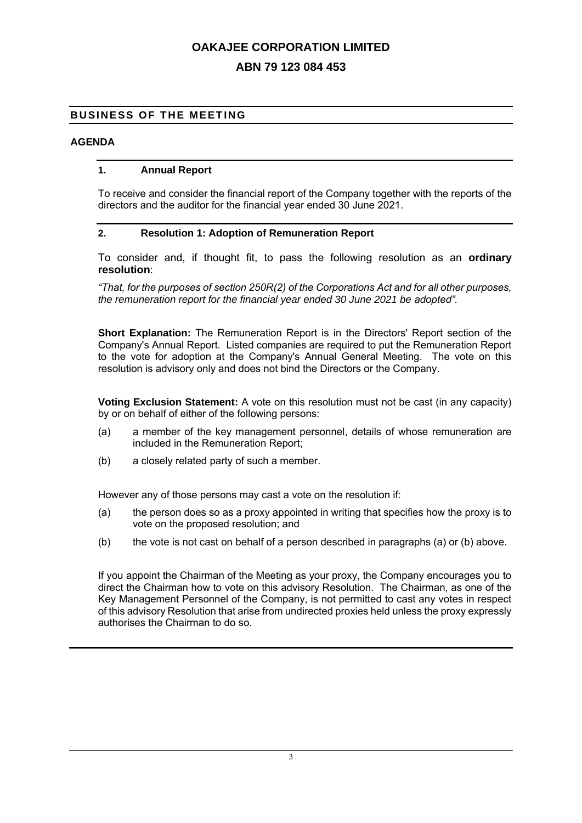# **ABN 79 123 084 453**

#### **BUSINESS OF THE MEETING**

#### **AGENDA**

#### **1. Annual Report**

To receive and consider the financial report of the Company together with the reports of the directors and the auditor for the financial year ended 30 June 2021.

#### **2. Resolution 1: Adoption of Remuneration Report**

To consider and, if thought fit, to pass the following resolution as an **ordinary resolution**:

*"That, for the purposes of section 250R(2) of the Corporations Act and for all other purposes, the remuneration report for the financial year ended 30 June 2021 be adopted".*

**Short Explanation:** The Remuneration Report is in the Directors' Report section of the Company's Annual Report. Listed companies are required to put the Remuneration Report to the vote for adoption at the Company's Annual General Meeting. The vote on this resolution is advisory only and does not bind the Directors or the Company.

**Voting Exclusion Statement:** A vote on this resolution must not be cast (in any capacity) by or on behalf of either of the following persons:

- (a) a member of the key management personnel, details of whose remuneration are included in the Remuneration Report;
- (b) a closely related party of such a member.

However any of those persons may cast a vote on the resolution if:

- (a) the person does so as a proxy appointed in writing that specifies how the proxy is to vote on the proposed resolution; and
- (b) the vote is not cast on behalf of a person described in paragraphs (a) or (b) above.

If you appoint the Chairman of the Meeting as your proxy, the Company encourages you to direct the Chairman how to vote on this advisory Resolution. The Chairman, as one of the Key Management Personnel of the Company, is not permitted to cast any votes in respect of this advisory Resolution that arise from undirected proxies held unless the proxy expressly authorises the Chairman to do so.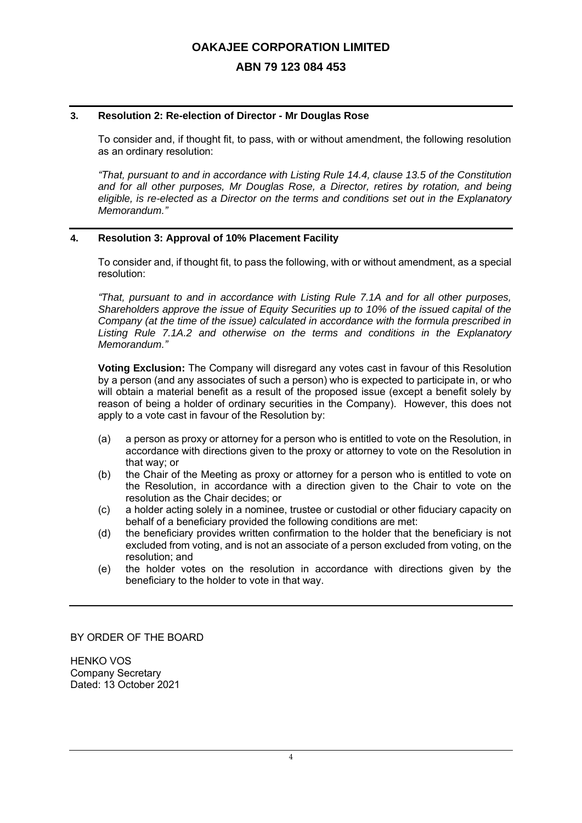#### **ABN 79 123 084 453**

#### **3. Resolution 2: Re-election of Director - Mr Douglas Rose**

To consider and, if thought fit, to pass, with or without amendment, the following resolution as an ordinary resolution:

*"That, pursuant to and in accordance with Listing Rule 14.4, clause 13.5 of the Constitution and for all other purposes, Mr Douglas Rose, a Director, retires by rotation, and being eligible, is re-elected as a Director on the terms and conditions set out in the Explanatory Memorandum."*

#### **4. Resolution 3: Approval of 10% Placement Facility**

To consider and, if thought fit, to pass the following, with or without amendment, as a special resolution:

*"That, pursuant to and in accordance with Listing Rule 7.1A and for all other purposes, Shareholders approve the issue of Equity Securities up to 10% of the issued capital of the Company (at the time of the issue) calculated in accordance with the formula prescribed in Listing Rule 7.1A.2 and otherwise on the terms and conditions in the Explanatory Memorandum."*

**Voting Exclusion:** The Company will disregard any votes cast in favour of this Resolution by a person (and any associates of such a person) who is expected to participate in, or who will obtain a material benefit as a result of the proposed issue (except a benefit solely by reason of being a holder of ordinary securities in the Company). However, this does not apply to a vote cast in favour of the Resolution by:

- (a) a person as proxy or attorney for a person who is entitled to vote on the Resolution, in accordance with directions given to the proxy or attorney to vote on the Resolution in that way; or
- (b) the Chair of the Meeting as proxy or attorney for a person who is entitled to vote on the Resolution, in accordance with a direction given to the Chair to vote on the resolution as the Chair decides; or
- (c) a holder acting solely in a nominee, trustee or custodial or other fiduciary capacity on behalf of a beneficiary provided the following conditions are met:
- (d) the beneficiary provides written confirmation to the holder that the beneficiary is not excluded from voting, and is not an associate of a person excluded from voting, on the resolution; and
- (e) the holder votes on the resolution in accordance with directions given by the beneficiary to the holder to vote in that way.

BY ORDER OF THE BOARD

HENKO VOS Company Secretary Dated: 13 October 2021

4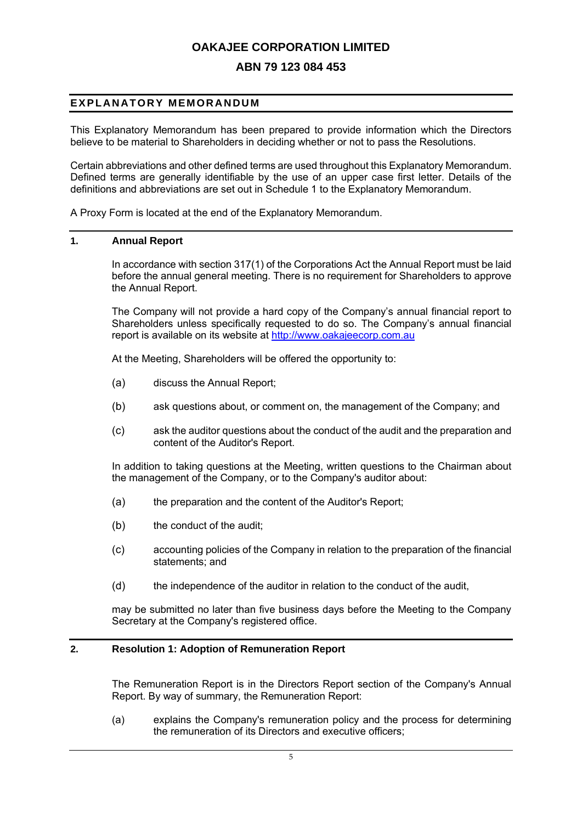#### **ABN 79 123 084 453**

### **E X P LA N AT OR Y ME M OR A N DU M**

This Explanatory Memorandum has been prepared to provide information which the Directors believe to be material to Shareholders in deciding whether or not to pass the Resolutions.

Certain abbreviations and other defined terms are used throughout this Explanatory Memorandum. Defined terms are generally identifiable by the use of an upper case first letter. Details of the definitions and abbreviations are set out in Schedule 1 to the Explanatory Memorandum.

A Proxy Form is located at the end of the Explanatory Memorandum.

#### **1. Annual Report**

In accordance with section 317(1) of the Corporations Act the Annual Report must be laid before the annual general meeting. There is no requirement for Shareholders to approve the Annual Report.

The Company will not provide a hard copy of the Company's annual financial report to Shareholders unless specifically requested to do so. The Company's annual financial report is available on its website at [http://www.oakajeecorp.com.au](http://www.oakajeecorp.com.au/)

At the Meeting, Shareholders will be offered the opportunity to:

- (a) discuss the Annual Report;
- (b) ask questions about, or comment on, the management of the Company; and
- (c) ask the auditor questions about the conduct of the audit and the preparation and content of the Auditor's Report.

In addition to taking questions at the Meeting, written questions to the Chairman about the management of the Company, or to the Company's auditor about:

- (a) the preparation and the content of the Auditor's Report;
- (b) the conduct of the audit:
- (c) accounting policies of the Company in relation to the preparation of the financial statements; and
- (d) the independence of the auditor in relation to the conduct of the audit,

may be submitted no later than five business days before the Meeting to the Company Secretary at the Company's registered office.

#### **2. Resolution 1: Adoption of Remuneration Report**

The Remuneration Report is in the Directors Report section of the Company's Annual Report. By way of summary, the Remuneration Report:

(a) explains the Company's remuneration policy and the process for determining the remuneration of its Directors and executive officers;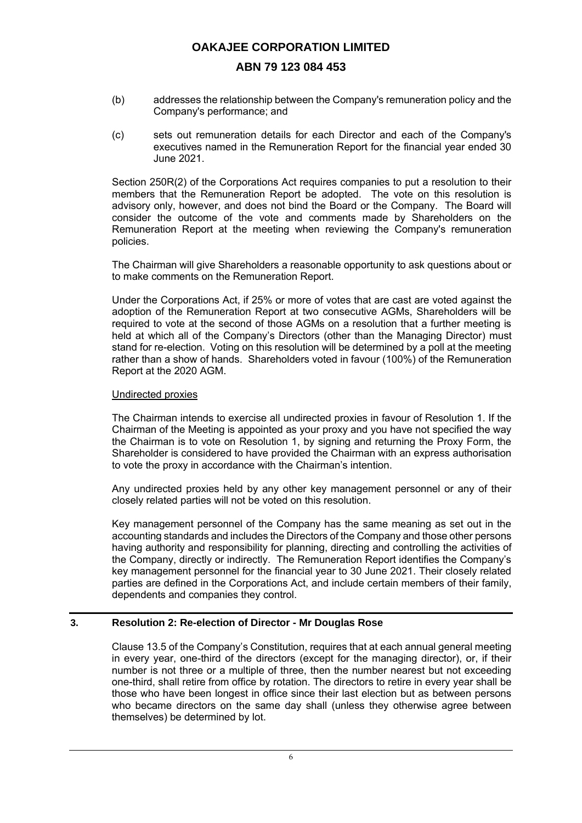#### **ABN 79 123 084 453**

- (b) addresses the relationship between the Company's remuneration policy and the Company's performance; and
- (c) sets out remuneration details for each Director and each of the Company's executives named in the Remuneration Report for the financial year ended 30 June 2021.

Section 250R(2) of the Corporations Act requires companies to put a resolution to their members that the Remuneration Report be adopted. The vote on this resolution is advisory only, however, and does not bind the Board or the Company. The Board will consider the outcome of the vote and comments made by Shareholders on the Remuneration Report at the meeting when reviewing the Company's remuneration policies.

The Chairman will give Shareholders a reasonable opportunity to ask questions about or to make comments on the Remuneration Report.

Under the Corporations Act, if 25% or more of votes that are cast are voted against the adoption of the Remuneration Report at two consecutive AGMs, Shareholders will be required to vote at the second of those AGMs on a resolution that a further meeting is held at which all of the Company's Directors (other than the Managing Director) must stand for re-election. Voting on this resolution will be determined by a poll at the meeting rather than a show of hands. Shareholders voted in favour (100%) of the Remuneration Report at the 2020 AGM.

#### Undirected proxies

The Chairman intends to exercise all undirected proxies in favour of Resolution 1. If the Chairman of the Meeting is appointed as your proxy and you have not specified the way the Chairman is to vote on Resolution 1, by signing and returning the Proxy Form, the Shareholder is considered to have provided the Chairman with an express authorisation to vote the proxy in accordance with the Chairman's intention.

Any undirected proxies held by any other key management personnel or any of their closely related parties will not be voted on this resolution.

Key management personnel of the Company has the same meaning as set out in the accounting standards and includes the Directors of the Company and those other persons having authority and responsibility for planning, directing and controlling the activities of the Company, directly or indirectly. The Remuneration Report identifies the Company's key management personnel for the financial year to 30 June 2021. Their closely related parties are defined in the Corporations Act, and include certain members of their family, dependents and companies they control.

#### **3. Resolution 2: Re-election of Director - Mr Douglas Rose**

Clause 13.5 of the Company's Constitution, requires that at each annual general meeting in every year, one-third of the directors (except for the managing director), or, if their number is not three or a multiple of three, then the number nearest but not exceeding one-third, shall retire from office by rotation. The directors to retire in every year shall be those who have been longest in office since their last election but as between persons who became directors on the same day shall (unless they otherwise agree between themselves) be determined by lot.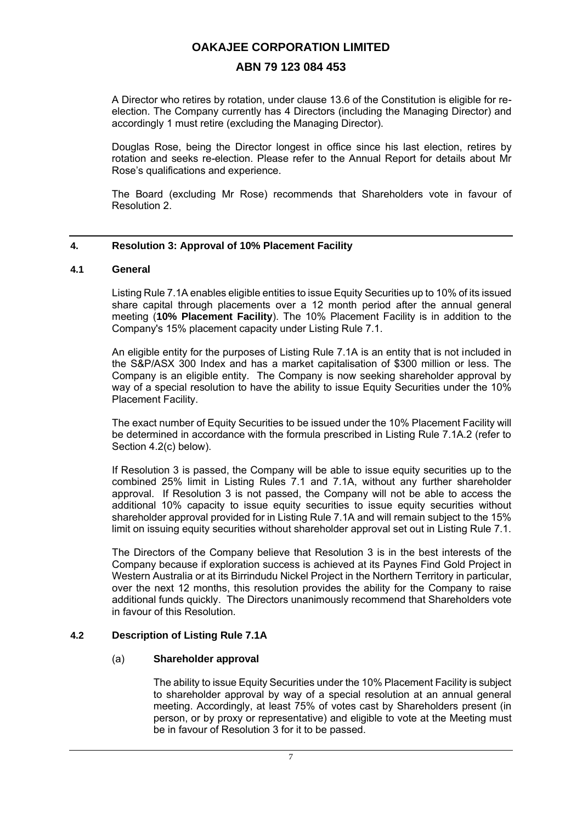#### **ABN 79 123 084 453**

A Director who retires by rotation, under clause 13.6 of the Constitution is eligible for reelection. The Company currently has 4 Directors (including the Managing Director) and accordingly 1 must retire (excluding the Managing Director).

Douglas Rose, being the Director longest in office since his last election, retires by rotation and seeks re-election. Please refer to the Annual Report for details about Mr Rose's qualifications and experience.

The Board (excluding Mr Rose) recommends that Shareholders vote in favour of Resolution 2.

#### **4. Resolution 3: Approval of 10% Placement Facility**

#### **4.1 General**

Listing Rule 7.1A enables eligible entities to issue Equity Securities up to 10% of its issued share capital through placements over a 12 month period after the annual general meeting (**10% Placement Facility**). The 10% Placement Facility is in addition to the Company's 15% placement capacity under Listing Rule 7.1.

An eligible entity for the purposes of Listing Rule 7.1A is an entity that is not included in the S&P/ASX 300 Index and has a market capitalisation of \$300 million or less. The Company is an eligible entity. The Company is now seeking shareholder approval by way of a special resolution to have the ability to issue Equity Securities under the 10% Placement Facility.

The exact number of Equity Securities to be issued under the 10% Placement Facility will be determined in accordance with the formula prescribed in Listing Rule 7.1A.2 (refer to Section 4.2(c) below).

If Resolution 3 is passed, the Company will be able to issue equity securities up to the combined 25% limit in Listing Rules 7.1 and 7.1A, without any further shareholder approval. If Resolution 3 is not passed, the Company will not be able to access the additional 10% capacity to issue equity securities to issue equity securities without shareholder approval provided for in Listing Rule 7.1A and will remain subject to the 15% limit on issuing equity securities without shareholder approval set out in Listing Rule 7.1.

The Directors of the Company believe that Resolution 3 is in the best interests of the Company because if exploration success is achieved at its Paynes Find Gold Project in Western Australia or at its Birrindudu Nickel Project in the Northern Territory in particular, over the next 12 months, this resolution provides the ability for the Company to raise additional funds quickly. The Directors unanimously recommend that Shareholders vote in favour of this Resolution.

#### **4.2 Description of Listing Rule 7.1A**

#### (a) **Shareholder approval**

The ability to issue Equity Securities under the 10% Placement Facility is subject to shareholder approval by way of a special resolution at an annual general meeting. Accordingly, at least 75% of votes cast by Shareholders present (in person, or by proxy or representative) and eligible to vote at the Meeting must be in favour of Resolution 3 for it to be passed.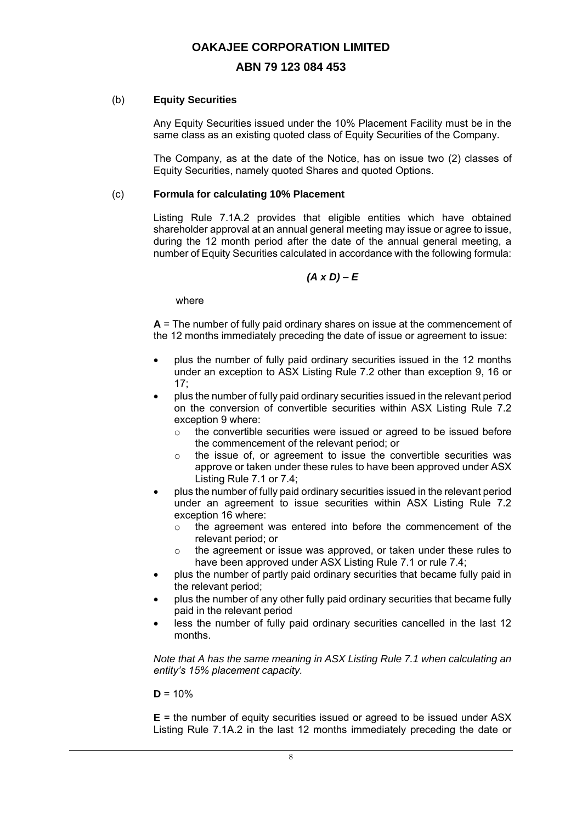#### **ABN 79 123 084 453**

#### (b) **Equity Securities**

Any Equity Securities issued under the 10% Placement Facility must be in the same class as an existing quoted class of Equity Securities of the Company.

The Company, as at the date of the Notice, has on issue two (2) classes of Equity Securities, namely quoted Shares and quoted Options.

#### (c) **Formula for calculating 10% Placement**

Listing Rule 7.1A.2 provides that eligible entities which have obtained shareholder approval at an annual general meeting may issue or agree to issue, during the 12 month period after the date of the annual general meeting, a number of Equity Securities calculated in accordance with the following formula:

#### *(A x D) – E*

where

**A** = The number of fully paid ordinary shares on issue at the commencement of the 12 months immediately preceding the date of issue or agreement to issue:

- plus the number of fully paid ordinary securities issued in the 12 months under an exception to ASX Listing Rule 7.2 other than exception 9, 16 or 17;
- plus the number of fully paid ordinary securities issued in the relevant period on the conversion of convertible securities within ASX Listing Rule 7.2 exception 9 where:
	- o the convertible securities were issued or agreed to be issued before the commencement of the relevant period; or
	- o the issue of, or agreement to issue the convertible securities was approve or taken under these rules to have been approved under ASX Listing Rule 7.1 or 7.4;
- plus the number of fully paid ordinary securities issued in the relevant period under an agreement to issue securities within ASX Listing Rule 7.2 exception 16 where:
	- o the agreement was entered into before the commencement of the relevant period; or
	- o the agreement or issue was approved, or taken under these rules to have been approved under ASX Listing Rule 7.1 or rule 7.4;
- plus the number of partly paid ordinary securities that became fully paid in the relevant period;
- plus the number of any other fully paid ordinary securities that became fully paid in the relevant period
- less the number of fully paid ordinary securities cancelled in the last 12 months.

*Note that A has the same meaning in ASX Listing Rule 7.1 when calculating an entity's 15% placement capacity.*

 $D = 10%$ 

**E** = the number of equity securities issued or agreed to be issued under ASX Listing Rule 7.1A.2 in the last 12 months immediately preceding the date or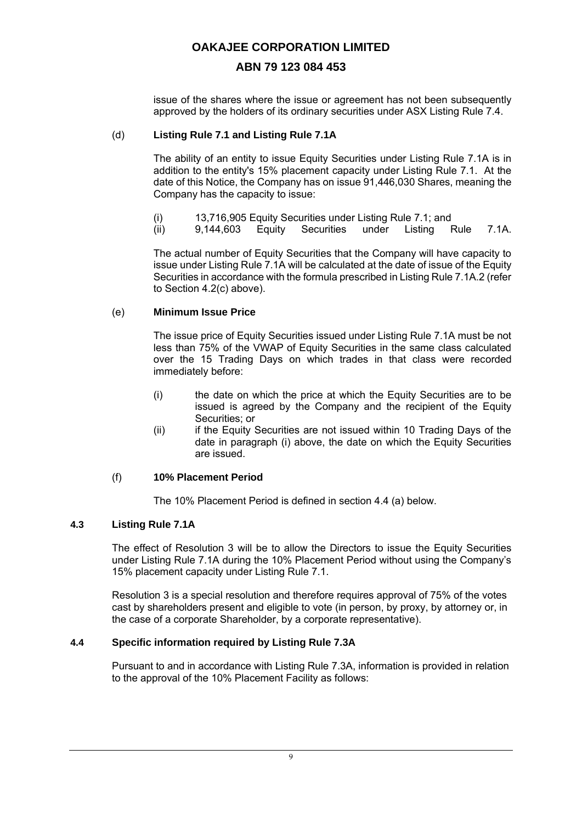# **ABN 79 123 084 453**

issue of the shares where the issue or agreement has not been subsequently approved by the holders of its ordinary securities under ASX Listing Rule 7.4.

#### (d) **Listing Rule 7.1 and Listing Rule 7.1A**

The ability of an entity to issue Equity Securities under Listing Rule 7.1A is in addition to the entity's 15% placement capacity under Listing Rule 7.1. At the date of this Notice, the Company has on issue 91,446,030 Shares, meaning the Company has the capacity to issue:

- (i) 13,716,905 Equity Securities under Listing Rule 7.1; and<br>(ii) 9,144,603 Equity Securities under Listing F
- (ii) 9,144,603 Equity Securities under Listing Rule 7.1A.

The actual number of Equity Securities that the Company will have capacity to issue under Listing Rule 7.1A will be calculated at the date of issue of the Equity Securities in accordance with the formula prescribed in Listing Rule 7.1A.2 (refer to Section 4.2(c) above).

#### (e) **Minimum Issue Price**

The issue price of Equity Securities issued under Listing Rule 7.1A must be not less than 75% of the VWAP of Equity Securities in the same class calculated over the 15 Trading Days on which trades in that class were recorded immediately before:

- (i) the date on which the price at which the Equity Securities are to be issued is agreed by the Company and the recipient of the Equity Securities; or
- (ii) if the Equity Securities are not issued within 10 Trading Days of the date in paragraph (i) above, the date on which the Equity Securities are issued.

#### (f) **10% Placement Period**

The 10% Placement Period is defined in section 4.4 (a) below.

#### **4.3 Listing Rule 7.1A**

The effect of Resolution 3 will be to allow the Directors to issue the Equity Securities under Listing Rule 7.1A during the 10% Placement Period without using the Company's 15% placement capacity under Listing Rule 7.1.

Resolution 3 is a special resolution and therefore requires approval of 75% of the votes cast by shareholders present and eligible to vote (in person, by proxy, by attorney or, in the case of a corporate Shareholder, by a corporate representative).

#### **4.4 Specific information required by Listing Rule 7.3A**

Pursuant to and in accordance with Listing Rule 7.3A, information is provided in relation to the approval of the 10% Placement Facility as follows: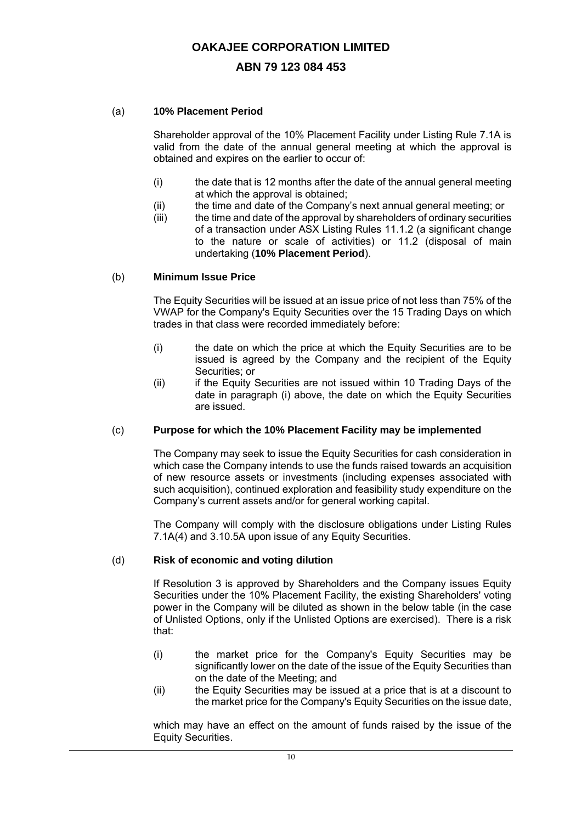### **ABN 79 123 084 453**

#### (a) **10% Placement Period**

Shareholder approval of the 10% Placement Facility under Listing Rule 7.1A is valid from the date of the annual general meeting at which the approval is obtained and expires on the earlier to occur of:

- (i) the date that is 12 months after the date of the annual general meeting at which the approval is obtained;
- (ii) the time and date of the Company's next annual general meeting; or
- (iii) the time and date of the approval by shareholders of ordinary securities of a transaction under ASX Listing Rules 11.1.2 (a significant change to the nature or scale of activities) or 11.2 (disposal of main undertaking (**10% Placement Period**).

#### (b) **Minimum Issue Price**

The Equity Securities will be issued at an issue price of not less than 75% of the VWAP for the Company's Equity Securities over the 15 Trading Days on which trades in that class were recorded immediately before:

- (i) the date on which the price at which the Equity Securities are to be issued is agreed by the Company and the recipient of the Equity Securities; or
- (ii) if the Equity Securities are not issued within 10 Trading Days of the date in paragraph (i) above, the date on which the Equity Securities are issued.

#### (c) **Purpose for which the 10% Placement Facility may be implemented**

The Company may seek to issue the Equity Securities for cash consideration in which case the Company intends to use the funds raised towards an acquisition of new resource assets or investments (including expenses associated with such acquisition), continued exploration and feasibility study expenditure on the Company's current assets and/or for general working capital.

The Company will comply with the disclosure obligations under Listing Rules 7.1A(4) and 3.10.5A upon issue of any Equity Securities.

#### (d) **Risk of economic and voting dilution**

If Resolution 3 is approved by Shareholders and the Company issues Equity Securities under the 10% Placement Facility, the existing Shareholders' voting power in the Company will be diluted as shown in the below table (in the case of Unlisted Options, only if the Unlisted Options are exercised). There is a risk that:

- (i) the market price for the Company's Equity Securities may be significantly lower on the date of the issue of the Equity Securities than on the date of the Meeting; and
- (ii) the Equity Securities may be issued at a price that is at a discount to the market price for the Company's Equity Securities on the issue date,

which may have an effect on the amount of funds raised by the issue of the Equity Securities.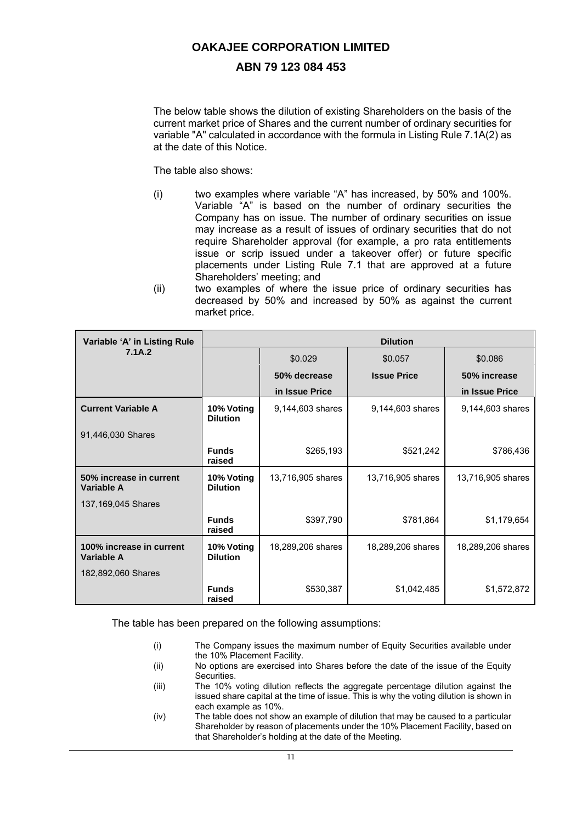#### **ABN 79 123 084 453**

The below table shows the dilution of existing Shareholders on the basis of the current market price of Shares and the current number of ordinary securities for variable "A" calculated in accordance with the formula in Listing Rule 7.1A(2) as at the date of this Notice.

The table also shows:

- (i) two examples where variable "A" has increased, by 50% and 100%. Variable "A" is based on the number of ordinary securities the Company has on issue. The number of ordinary securities on issue may increase as a result of issues of ordinary securities that do not require Shareholder approval (for example, a pro rata entitlements issue or scrip issued under a takeover offer) or future specific placements under Listing Rule 7.1 that are approved at a future Shareholders' meeting; and
- (ii) two examples of where the issue price of ordinary securities has decreased by 50% and increased by 50% as against the current market price.

| Variable 'A' in Listing Rule           | <b>Dilution</b>               |                   |                    |                   |
|----------------------------------------|-------------------------------|-------------------|--------------------|-------------------|
| 7.1A.2                                 |                               | \$0.029           | \$0.057            | \$0.086           |
|                                        |                               | 50% decrease      | <b>Issue Price</b> | 50% increase      |
|                                        |                               | in Issue Price    |                    | in Issue Price    |
| <b>Current Variable A</b>              | 10% Voting<br><b>Dilution</b> | 9,144,603 shares  | 9,144,603 shares   | 9,144,603 shares  |
| 91,446,030 Shares                      |                               |                   |                    |                   |
|                                        | <b>Funds</b><br>raised        | \$265,193         | \$521,242          | \$786,436         |
| 50% increase in current<br>Variable A  | 10% Voting<br><b>Dilution</b> | 13,716,905 shares | 13,716,905 shares  | 13,716,905 shares |
| 137,169,045 Shares                     |                               |                   |                    |                   |
|                                        | <b>Funds</b><br>raised        | \$397,790         | \$781,864          | \$1,179,654       |
| 100% increase in current<br>Variable A | 10% Voting<br><b>Dilution</b> | 18,289,206 shares | 18,289,206 shares  | 18,289,206 shares |
| 182,892,060 Shares                     |                               |                   |                    |                   |
|                                        | <b>Funds</b><br>raised        | \$530,387         | \$1,042,485        | \$1,572,872       |

The table has been prepared on the following assumptions:

- (i) The Company issues the maximum number of Equity Securities available under the 10% Placement Facility.
- (ii) No options are exercised into Shares before the date of the issue of the Equity Securities.
- (iii) The 10% voting dilution reflects the aggregate percentage dilution against the issued share capital at the time of issue. This is why the voting dilution is shown in each example as 10%.
- (iv) The table does not show an example of dilution that may be caused to a particular Shareholder by reason of placements under the 10% Placement Facility, based on that Shareholder's holding at the date of the Meeting.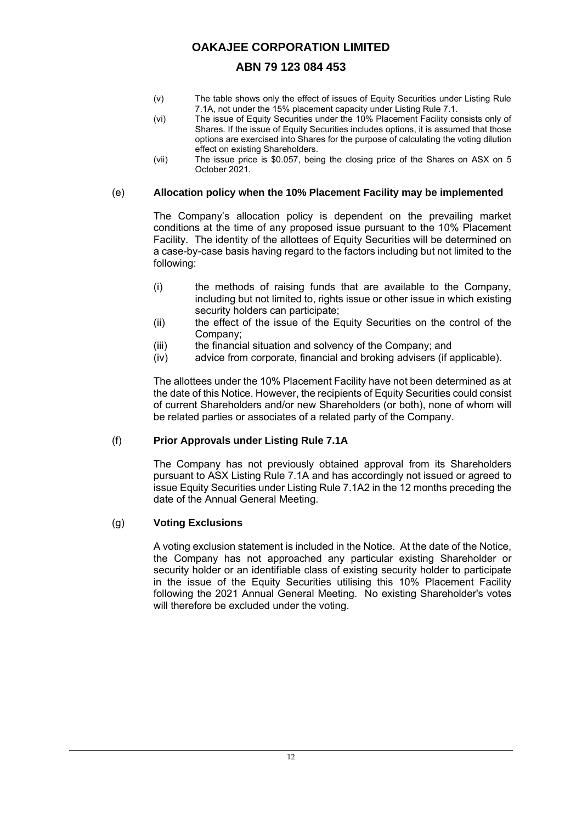# **ABN 79 123 084 453**

- (v) The table shows only the effect of issues of Equity Securities under Listing Rule 7.1A, not under the 15% placement capacity under Listing Rule 7.1.
- (vi) The issue of Equity Securities under the 10% Placement Facility consists only of Shares. If the issue of Equity Securities includes options, it is assumed that those options are exercised into Shares for the purpose of calculating the voting dilution effect on existing Shareholders.
- (vii) The issue price is \$0.057, being the closing price of the Shares on ASX on 5 October 2021.

#### (e) **Allocation policy when the 10% Placement Facility may be implemented**

The Company's allocation policy is dependent on the prevailing market conditions at the time of any proposed issue pursuant to the 10% Placement Facility. The identity of the allottees of Equity Securities will be determined on a case-by-case basis having regard to the factors including but not limited to the following:

- (i) the methods of raising funds that are available to the Company, including but not limited to, rights issue or other issue in which existing security holders can participate;
- (ii) the effect of the issue of the Equity Securities on the control of the Company;
- (iii) the financial situation and solvency of the Company; and
- (iv) advice from corporate, financial and broking advisers (if applicable).

The allottees under the 10% Placement Facility have not been determined as at the date of this Notice. However, the recipients of Equity Securities could consist of current Shareholders and/or new Shareholders (or both), none of whom will be related parties or associates of a related party of the Company.

#### (f) **Prior Approvals under Listing Rule 7.1A**

The Company has not previously obtained approval from its Shareholders pursuant to ASX Listing Rule 7.1A and has accordingly not issued or agreed to issue Equity Securities under Listing Rule 7.1A2 in the 12 months preceding the date of the Annual General Meeting.

#### (g) **Voting Exclusions**

A voting exclusion statement is included in the Notice. At the date of the Notice, the Company has not approached any particular existing Shareholder or security holder or an identifiable class of existing security holder to participate in the issue of the Equity Securities utilising this 10% Placement Facility following the 2021 Annual General Meeting. No existing Shareholder's votes will therefore be excluded under the voting.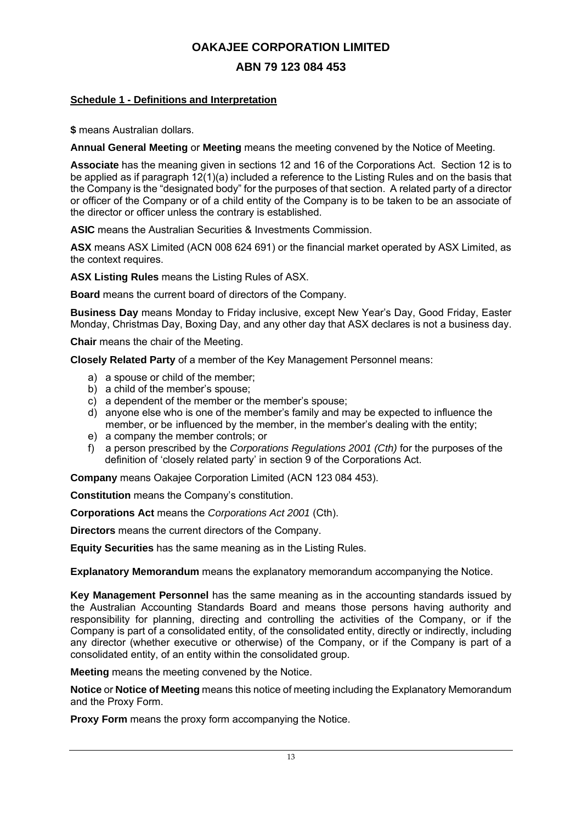# **ABN 79 123 084 453**

#### **Schedule 1 - Definitions and Interpretation**

**\$** means Australian dollars.

**Annual General Meeting** or **Meeting** means the meeting convened by the Notice of Meeting.

**Associate** has the meaning given in sections 12 and 16 of the Corporations Act. Section 12 is to be applied as if paragraph 12(1)(a) included a reference to the Listing Rules and on the basis that the Company is the "designated body" for the purposes of that section. A related party of a director or officer of the Company or of a child entity of the Company is to be taken to be an associate of the director or officer unless the contrary is established.

**ASIC** means the Australian Securities & Investments Commission.

**ASX** means ASX Limited (ACN 008 624 691) or the financial market operated by ASX Limited, as the context requires.

**ASX Listing Rules** means the Listing Rules of ASX.

**Board** means the current board of directors of the Company.

**Business Day** means Monday to Friday inclusive, except New Year's Day, Good Friday, Easter Monday, Christmas Day, Boxing Day, and any other day that ASX declares is not a business day.

**Chair** means the chair of the Meeting.

**Closely Related Party** of a member of the Key Management Personnel means:

- a) a spouse or child of the member;
- b) a child of the member's spouse;
- c) a dependent of the member or the member's spouse;
- d) anyone else who is one of the member's family and may be expected to influence the member, or be influenced by the member, in the member's dealing with the entity;
- e) a company the member controls; or
- f) a person prescribed by the *Corporations Regulations 2001 (Cth)* for the purposes of the definition of 'closely related party' in section 9 of the Corporations Act.

**Company** means Oakajee Corporation Limited (ACN 123 084 453).

**Constitution** means the Company's constitution.

**Corporations Act** means the *Corporations Act 2001* (Cth).

**Directors** means the current directors of the Company.

**Equity Securities** has the same meaning as in the Listing Rules.

**Explanatory Memorandum** means the explanatory memorandum accompanying the Notice.

**Key Management Personnel** has the same meaning as in the accounting standards issued by the Australian Accounting Standards Board and means those persons having authority and responsibility for planning, directing and controlling the activities of the Company, or if the Company is part of a consolidated entity, of the consolidated entity, directly or indirectly, including any director (whether executive or otherwise) of the Company, or if the Company is part of a consolidated entity, of an entity within the consolidated group.

**Meeting** means the meeting convened by the Notice.

**Notice** or **Notice of Meeting** means this notice of meeting including the Explanatory Memorandum and the Proxy Form.

**Proxy Form** means the proxy form accompanying the Notice.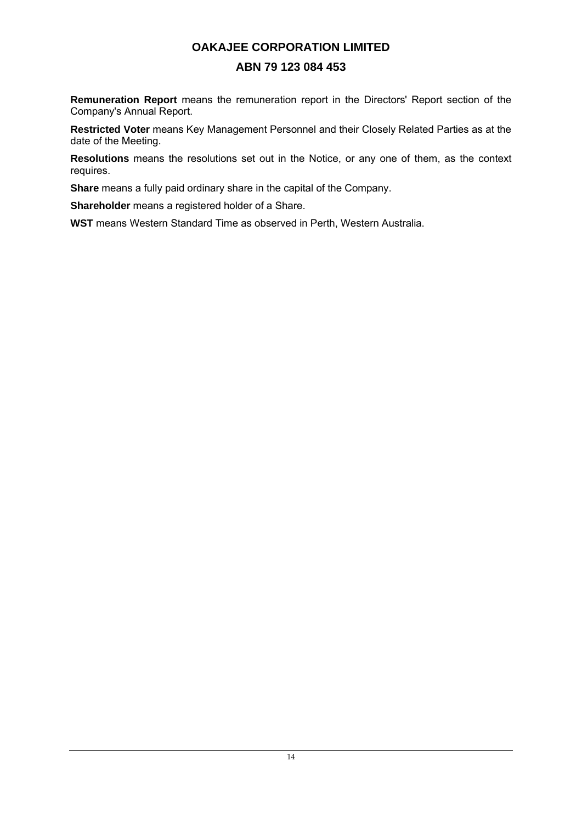# **ABN 79 123 084 453**

**Remuneration Report** means the remuneration report in the Directors' Report section of the Company's Annual Report.

**Restricted Voter** means Key Management Personnel and their Closely Related Parties as at the date of the Meeting.

**Resolutions** means the resolutions set out in the Notice, or any one of them, as the context requires.

**Share** means a fully paid ordinary share in the capital of the Company.

**Shareholder** means a registered holder of a Share.

**WST** means Western Standard Time as observed in Perth, Western Australia.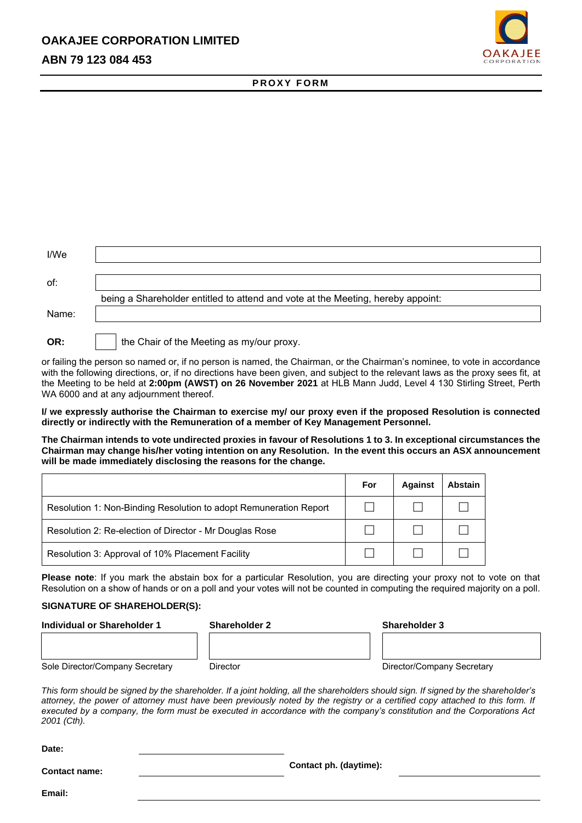# **ABN 79 123 084 453**



#### **P R O X Y F O R M**

| I/We  |                                                                                 |
|-------|---------------------------------------------------------------------------------|
| of:   |                                                                                 |
|       | being a Shareholder entitled to attend and vote at the Meeting, hereby appoint: |
| Name: |                                                                                 |
| OR:   | the Chair of the Meeting as my/our proxy.                                       |

or failing the person so named or, if no person is named, the Chairman, or the Chairman's nominee, to vote in accordance with the following directions, or, if no directions have been given, and subject to the relevant laws as the proxy sees fit, at the Meeting to be held at **2:00pm (AWST) on 26 November 2021** at HLB Mann Judd, Level 4 130 Stirling Street, Perth WA 6000 and at any adjournment thereof.

**I/ we expressly authorise the Chairman to exercise my/ our proxy even if the proposed Resolution is connected directly or indirectly with the Remuneration of a member of Key Management Personnel.**

**The Chairman intends to vote undirected proxies in favour of Resolutions 1 to 3. In exceptional circumstances the Chairman may change his/her voting intention on any Resolution. In the event this occurs an ASX announcement will be made immediately disclosing the reasons for the change.**

|                                                                   | For | <b>Against</b> | <b>Abstain</b> |
|-------------------------------------------------------------------|-----|----------------|----------------|
| Resolution 1: Non-Binding Resolution to adopt Remuneration Report |     |                |                |
| Resolution 2: Re-election of Director - Mr Douglas Rose           |     |                |                |
| Resolution 3: Approval of 10% Placement Facility                  |     |                |                |

**Please note**: If you mark the abstain box for a particular Resolution, you are directing your proxy not to vote on that Resolution on a show of hands or on a poll and your votes will not be counted in computing the required majority on a poll.

#### **SIGNATURE OF SHAREHOLDER(S):**

**Date:**

| Individual or Shareholder 1     | <b>Shareholder 2</b> | <b>Shareholder 3</b>       |  |
|---------------------------------|----------------------|----------------------------|--|
|                                 |                      |                            |  |
|                                 |                      |                            |  |
| Sole Director/Company Secretary | Director             | Director/Company Secretary |  |

*This form should be signed by the shareholder. If a joint holding, all the shareholders should sign. If signed by the shareholder's attorney, the power of attorney must have been previously noted by the registry or a certified copy attached to this form. If executed by a company, the form must be executed in accordance with the company's constitution and the Corporations Act 2001 (Cth).*

| -----                |                        |  |
|----------------------|------------------------|--|
| <b>Contact name:</b> | Contact ph. (daytime): |  |
| Email:               |                        |  |